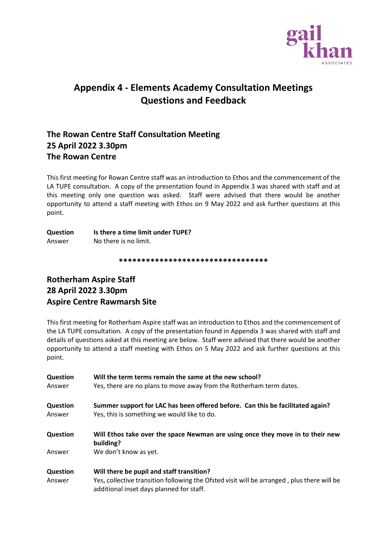

# **Appendix 4 - Elements Academy Consultation Meetings Questions and Feedback**

### **The Rowan Centre Staff Consultation Meeting 25 April 2022 3.30pm The Rowan Centre**

This first meeting for Rowan Centre staff was an introduction to Ethos and the commencement of the LA TUPE consultation. A copy of the presentation found in Appendix 3 was shared with staff and at this meeting only one question was asked. Staff were advised that there would be another opportunity to attend a staff meeting with Ethos on 9 May 2022 and ask further questions at this point.

| Question | Is there a time limit under TUPE? |
|----------|-----------------------------------|
| Answer   | No there is no limit.             |

**\*\*\*\*\*\*\*\*\*\*\*\*\*\*\*\*\*\*\*\*\*\*\*\*\*\*\*\*\*\*\*\*\***

### **Rotherham Aspire Staff 28 April 2022 3.30pm Aspire Centre Rawmarsh Site**

This first meeting for Rotherham Aspire staff was an introduction to Ethos and the commencement of the LA TUPE consultation. A copy of the presentation found in Appendix 3 was shared with staff and details of questions asked at this meeting are below. Staff were advised that there would be another opportunity to attend a staff meeting with Ethos on 5 May 2022 and ask further questions at this point.

| Question | Will the term terms remain the same at the new school?                                                                                 |
|----------|----------------------------------------------------------------------------------------------------------------------------------------|
| Answer   | Yes, there are no plans to move away from the Rotherham term dates.                                                                    |
| Question | Summer support for LAC has been offered before. Can this be facilitated again?                                                         |
| Answer   | Yes, this is something we would like to do.                                                                                            |
| Question | Will Ethos take over the space Newman are using once they move in to their new<br>building?                                            |
| Answer   | We don't know as yet.                                                                                                                  |
| Question | Will there be pupil and staff transition?                                                                                              |
| Answer   | Yes, collective transition following the Ofsted visit will be arranged, plus there will be<br>additional inset days planned for staff. |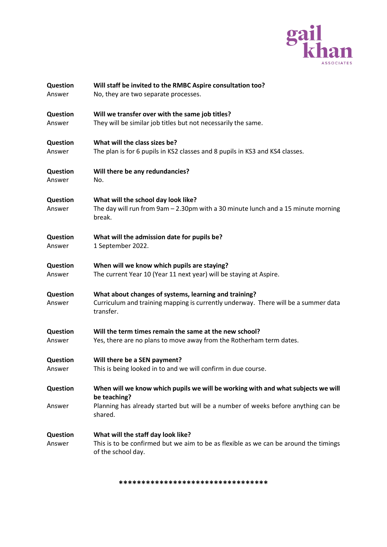

| Question        | Will staff be invited to the RMBC Aspire consultation too?                                                   |
|-----------------|--------------------------------------------------------------------------------------------------------------|
| Answer          | No, they are two separate processes.                                                                         |
| Question        | Will we transfer over with the same job titles?                                                              |
| Answer          | They will be similar job titles but not necessarily the same.                                                |
| <b>Question</b> | What will the class sizes be?                                                                                |
| Answer          | The plan is for 6 pupils in KS2 classes and 8 pupils in KS3 and KS4 classes.                                 |
| Question        | Will there be any redundancies?                                                                              |
| Answer          | No.                                                                                                          |
| <b>Question</b> | What will the school day look like?                                                                          |
| Answer          | The day will run from 9am - 2.30pm with a 30 minute lunch and a 15 minute morning<br>break.                  |
| Question        | What will the admission date for pupils be?                                                                  |
| Answer          | 1 September 2022.                                                                                            |
| Question        | When will we know which pupils are staying?                                                                  |
| Answer          | The current Year 10 (Year 11 next year) will be staying at Aspire.                                           |
| Question        | What about changes of systems, learning and training?                                                        |
| Answer          | Curriculum and training mapping is currently underway. There will be a summer data<br>transfer.              |
| Question        | Will the term times remain the same at the new school?                                                       |
| Answer          | Yes, there are no plans to move away from the Rotherham term dates.                                          |
| Question        | Will there be a SEN payment?                                                                                 |
| Answer          | This is being looked in to and we will confirm in due course.                                                |
| Question        | When will we know which pupils we will be working with and what subjects we will                             |
| Answer          | be teaching?<br>Planning has already started but will be a number of weeks before anything can be<br>shared. |
| <b>Question</b> | What will the staff day look like?                                                                           |
| Answer          | This is to be confirmed but we aim to be as flexible as we can be around the timings<br>of the school day.   |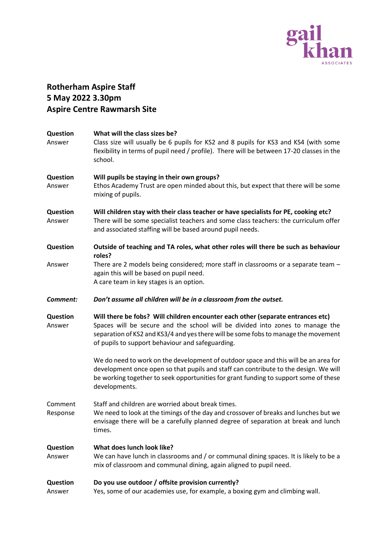

# **Rotherham Aspire Staff 5 May 2022 3.30pm Aspire Centre Rawmarsh Site**

| Question<br>Answer        | What will the class sizes be?<br>Class size will usually be 6 pupils for KS2 and 8 pupils for KS3 and KS4 (with some<br>flexibility in terms of pupil need / profile). There will be between 17-20 classes in the<br>school.                                                                               |
|---------------------------|------------------------------------------------------------------------------------------------------------------------------------------------------------------------------------------------------------------------------------------------------------------------------------------------------------|
| Question<br>Answer        | Will pupils be staying in their own groups?<br>Ethos Academy Trust are open minded about this, but expect that there will be some<br>mixing of pupils.                                                                                                                                                     |
| Question<br>Answer        | Will children stay with their class teacher or have specialists for PE, cooking etc?<br>There will be some specialist teachers and some class teachers: the curriculum offer<br>and associated staffing will be based around pupil needs.                                                                  |
| Question                  | Outside of teaching and TA roles, what other roles will there be such as behaviour<br>roles?                                                                                                                                                                                                               |
| Answer                    | There are 2 models being considered; more staff in classrooms or a separate team -<br>again this will be based on pupil need.<br>A care team in key stages is an option.                                                                                                                                   |
| Comment:                  | Don't assume all children will be in a classroom from the outset.                                                                                                                                                                                                                                          |
| Question<br>Answer        | Will there be fobs? Will children encounter each other (separate entrances etc)<br>Spaces will be secure and the school will be divided into zones to manage the<br>separation of KS2 and KS3/4 and yes there will be some fobs to manage the movement<br>of pupils to support behaviour and safeguarding. |
|                           | We do need to work on the development of outdoor space and this will be an area for<br>development once open so that pupils and staff can contribute to the design. We will<br>be working together to seek opportunities for grant funding to support some of these<br>developments.                       |
| Comment<br>Response       | Staff and children are worried about break times.<br>We need to look at the timings of the day and crossover of breaks and lunches but we<br>envisage there will be a carefully planned degree of separation at break and lunch<br>times.                                                                  |
| <b>Question</b><br>Answer | What does lunch look like?<br>We can have lunch in classrooms and / or communal dining spaces. It is likely to be a<br>mix of classroom and communal dining, again aligned to pupil need.                                                                                                                  |
| Question<br>Answer        | Do you use outdoor / offsite provision currently?<br>Yes, some of our academies use, for example, a boxing gym and climbing wall.                                                                                                                                                                          |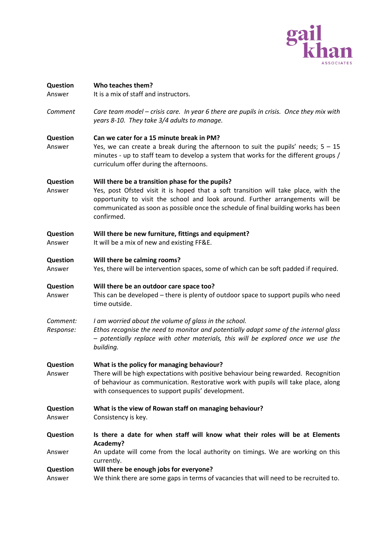

| <b>Question</b><br>Answer | Who teaches them?<br>It is a mix of staff and instructors.                                                                                                                                                                                                                                                                    |
|---------------------------|-------------------------------------------------------------------------------------------------------------------------------------------------------------------------------------------------------------------------------------------------------------------------------------------------------------------------------|
| Comment                   | Care team model – crisis care. In year 6 there are pupils in crisis. Once they mix with<br>years 8-10. They take 3/4 adults to manage.                                                                                                                                                                                        |
| Question<br>Answer        | Can we cater for a 15 minute break in PM?<br>Yes, we can create a break during the afternoon to suit the pupils' needs; $5 - 15$<br>minutes - up to staff team to develop a system that works for the different groups /<br>curriculum offer during the afternoons.                                                           |
| <b>Question</b><br>Answer | Will there be a transition phase for the pupils?<br>Yes, post Ofsted visit it is hoped that a soft transition will take place, with the<br>opportunity to visit the school and look around. Further arrangements will be<br>communicated as soon as possible once the schedule of final building works has been<br>confirmed. |
| <b>Question</b><br>Answer | Will there be new furniture, fittings and equipment?<br>It will be a mix of new and existing FF&E.                                                                                                                                                                                                                            |
| <b>Question</b><br>Answer | Will there be calming rooms?<br>Yes, there will be intervention spaces, some of which can be soft padded if required.                                                                                                                                                                                                         |
| Question<br>Answer        | Will there be an outdoor care space too?<br>This can be developed - there is plenty of outdoor space to support pupils who need<br>time outside.                                                                                                                                                                              |
| Comment:<br>Response:     | I am worried about the volume of glass in the school.<br>Ethos recognise the need to monitor and potentially adapt some of the internal glass<br>- potentially replace with other materials, this will be explored once we use the<br>building.                                                                               |
| Question<br>Answer        | What is the policy for managing behaviour?<br>There will be high expectations with positive behaviour being rewarded. Recognition<br>of behaviour as communication. Restorative work with pupils will take place, along<br>with consequences to support pupils' development.                                                  |
| Question<br>Answer        | What is the view of Rowan staff on managing behaviour?<br>Consistency is key.                                                                                                                                                                                                                                                 |
| Question                  | Is there a date for when staff will know what their roles will be at Elements<br>Academy?                                                                                                                                                                                                                                     |
| Answer                    | An update will come from the local authority on timings. We are working on this<br>currently.                                                                                                                                                                                                                                 |
| Question<br>Answer        | Will there be enough jobs for everyone?<br>We think there are some gaps in terms of vacancies that will need to be recruited to.                                                                                                                                                                                              |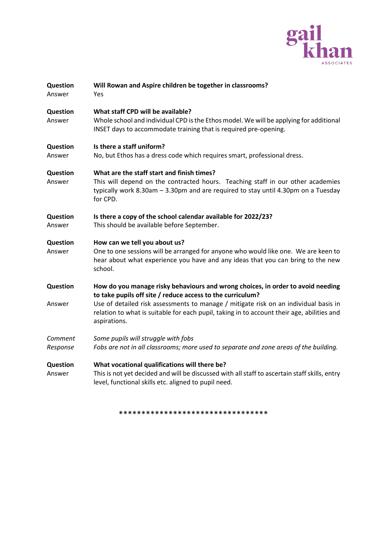

| Question<br>Answer  | Will Rowan and Aspire children be together in classrooms?<br>Yes                                                                                                                                                                 |
|---------------------|----------------------------------------------------------------------------------------------------------------------------------------------------------------------------------------------------------------------------------|
| Question<br>Answer  | What staff CPD will be available?<br>Whole school and individual CPD is the Ethos model. We will be applying for additional<br>INSET days to accommodate training that is required pre-opening.                                  |
| Question<br>Answer  | Is there a staff uniform?<br>No, but Ethos has a dress code which requires smart, professional dress.                                                                                                                            |
| Question<br>Answer  | What are the staff start and finish times?<br>This will depend on the contracted hours. Teaching staff in our other academies<br>typically work 8.30am $-$ 3.30pm and are required to stay until 4.30pm on a Tuesday<br>for CPD. |
| Question<br>Answer  | Is there a copy of the school calendar available for 2022/23?<br>This should be available before September.                                                                                                                      |
| Question<br>Answer  | How can we tell you about us?<br>One to one sessions will be arranged for anyone who would like one. We are keen to<br>hear about what experience you have and any ideas that you can bring to the new<br>school.                |
| Question            | How do you manage risky behaviours and wrong choices, in order to avoid needing<br>to take pupils off site / reduce access to the curriculum?                                                                                    |
| Answer              | Use of detailed risk assessments to manage / mitigate risk on an individual basis in<br>relation to what is suitable for each pupil, taking in to account their age, abilities and<br>aspirations.                               |
| Comment<br>Response | Some pupils will struggle with fobs<br>Fobs are not in all classrooms; more used to separate and zone areas of the building.                                                                                                     |
| Question<br>Answer  | What vocational qualifications will there be?<br>This is not yet decided and will be discussed with all staff to ascertain staff skills, entry<br>level, functional skills etc. aligned to pupil need.                           |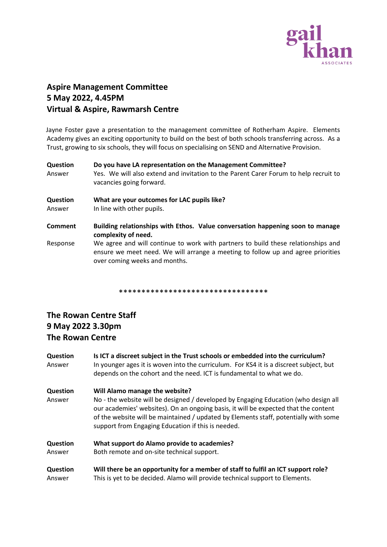

# **Aspire Management Committee 5 May 2022, 4.45PM Virtual & Aspire, Rawmarsh Centre**

Jayne Foster gave a presentation to the management committee of Rotherham Aspire. Elements Academy gives an exciting opportunity to build on the best of both schools transferring across. As a Trust, growing to six schools, they will focus on specialising on SEND and Alternative Provision.

| Question<br>Answer        | Do you have LA representation on the Management Committee?<br>Yes. We will also extend and invitation to the Parent Carer Forum to help recruit to<br>vacancies going forward.                         |
|---------------------------|--------------------------------------------------------------------------------------------------------------------------------------------------------------------------------------------------------|
| <b>Question</b><br>Answer | What are your outcomes for LAC pupils like?<br>In line with other pupils.                                                                                                                              |
| <b>Comment</b>            | Building relationships with Ethos. Value conversation happening soon to manage<br>complexity of need.                                                                                                  |
| Response                  | We agree and will continue to work with partners to build these relationships and<br>ensure we meet need. We will arrange a meeting to follow up and agree priorities<br>over coming weeks and months. |

\*\*\*\*\*\*\*\*\*\*\*\*\*\*\*\*\*\*\*\*\*\*\*\*\*\*\*\*\*\*\*\*\*

# **The Rowan Centre Staff 9 May 2022 3.30pm The Rowan Centre**

| Question<br>Answer        | Is ICT a discreet subject in the Trust schools or embedded into the curriculum?<br>In younger ages it is woven into the curriculum. For KS4 it is a discreet subject, but<br>depends on the cohort and the need. ICT is fundamental to what we do.                                                                                                         |
|---------------------------|------------------------------------------------------------------------------------------------------------------------------------------------------------------------------------------------------------------------------------------------------------------------------------------------------------------------------------------------------------|
| <b>Question</b><br>Answer | Will Alamo manage the website?<br>No - the website will be designed / developed by Engaging Education (who design all<br>our academies' websites). On an ongoing basis, it will be expected that the content<br>of the website will be maintained / updated by Elements staff, potentially with some<br>support from Engaging Education if this is needed. |
| Question                  | What support do Alamo provide to academies?                                                                                                                                                                                                                                                                                                                |
| Answer                    | Both remote and on-site technical support.                                                                                                                                                                                                                                                                                                                 |
| <b>Question</b>           | Will there be an opportunity for a member of staff to fulfil an ICT support role?                                                                                                                                                                                                                                                                          |
| Answer                    | This is yet to be decided. Alamo will provide technical support to Elements.                                                                                                                                                                                                                                                                               |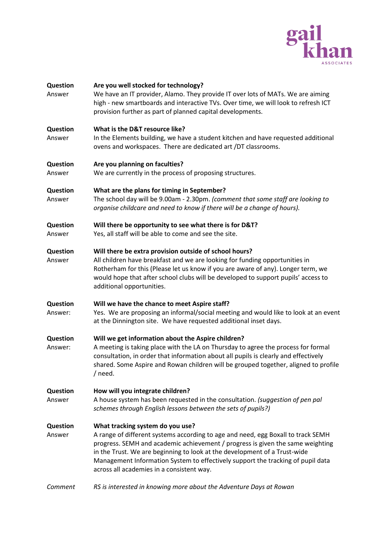

| Question<br>Answer        | Are you well stocked for technology?<br>We have an IT provider, Alamo. They provide IT over lots of MATs. We are aiming<br>high - new smartboards and interactive TVs. Over time, we will look to refresh ICT<br>provision further as part of planned capital developments.                                                                                                                                         |
|---------------------------|---------------------------------------------------------------------------------------------------------------------------------------------------------------------------------------------------------------------------------------------------------------------------------------------------------------------------------------------------------------------------------------------------------------------|
| <b>Question</b><br>Answer | What is the D&T resource like?<br>In the Elements building, we have a student kitchen and have requested additional<br>ovens and workspaces. There are dedicated art /DT classrooms.                                                                                                                                                                                                                                |
| Question<br>Answer        | Are you planning on faculties?<br>We are currently in the process of proposing structures.                                                                                                                                                                                                                                                                                                                          |
| Question<br>Answer        | What are the plans for timing in September?<br>The school day will be 9.00am - 2.30pm. (comment that some staff are looking to<br>organise childcare and need to know if there will be a change of hours).                                                                                                                                                                                                          |
| Question<br>Answer        | Will there be opportunity to see what there is for D&T?<br>Yes, all staff will be able to come and see the site.                                                                                                                                                                                                                                                                                                    |
| Question<br>Answer        | Will there be extra provision outside of school hours?<br>All children have breakfast and we are looking for funding opportunities in<br>Rotherham for this (Please let us know if you are aware of any). Longer term, we<br>would hope that after school clubs will be developed to support pupils' access to<br>additional opportunities.                                                                         |
| Question<br>Answer:       | Will we have the chance to meet Aspire staff?<br>Yes. We are proposing an informal/social meeting and would like to look at an event<br>at the Dinnington site. We have requested additional inset days.                                                                                                                                                                                                            |
| Question<br>Answer:       | Will we get information about the Aspire children?<br>A meeting is taking place with the LA on Thursday to agree the process for formal<br>consultation, in order that information about all pupils is clearly and effectively<br>shared. Some Aspire and Rowan children will be grouped together, aligned to profile<br>/ need.                                                                                    |
| Question<br>Answer        | How will you integrate children?<br>A house system has been requested in the consultation. (suggestion of pen pal<br>schemes through English lessons between the sets of pupils?)                                                                                                                                                                                                                                   |
| Question<br>Answer        | What tracking system do you use?<br>A range of different systems according to age and need, egg Boxall to track SEMH<br>progress. SEMH and academic achievement / progress is given the same weighting<br>in the Trust. We are beginning to look at the development of a Trust-wide<br>Management Information System to effectively support the tracking of pupil data<br>across all academies in a consistent way. |
| Comment                   | RS is interested in knowing more about the Adventure Days at Rowan                                                                                                                                                                                                                                                                                                                                                  |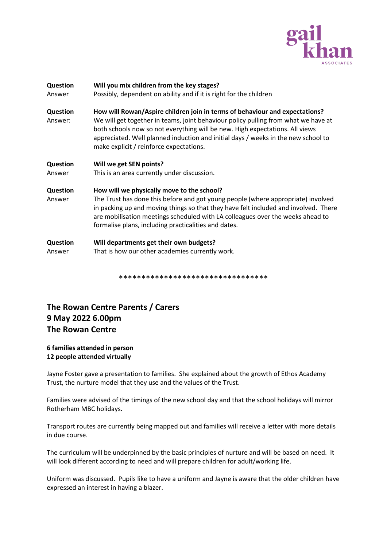

| <b>Question</b><br>Answer  | Will you mix children from the key stages?<br>Possibly, dependent on ability and if it is right for the children                                                                                                                                                                                                                                                                  |
|----------------------------|-----------------------------------------------------------------------------------------------------------------------------------------------------------------------------------------------------------------------------------------------------------------------------------------------------------------------------------------------------------------------------------|
| <b>Question</b><br>Answer: | How will Rowan/Aspire children join in terms of behaviour and expectations?<br>We will get together in teams, joint behaviour policy pulling from what we have at<br>both schools now so not everything will be new. High expectations. All views<br>appreciated. Well planned induction and initial days / weeks in the new school to<br>make explicit / reinforce expectations. |
| <b>Question</b>            | Will we get SEN points?                                                                                                                                                                                                                                                                                                                                                           |
| Answer                     | This is an area currently under discussion.                                                                                                                                                                                                                                                                                                                                       |
| Question<br>Answer         | How will we physically move to the school?<br>The Trust has done this before and got young people (where appropriate) involved<br>in packing up and moving things so that they have felt included and involved. There<br>are mobilisation meetings scheduled with LA colleagues over the weeks ahead to<br>formalise plans, including practicalities and dates.                   |
| <b>Question</b><br>Answer  | Will departments get their own budgets?<br>That is how our other academies currently work.                                                                                                                                                                                                                                                                                        |

### **The Rowan Centre Parents / Carers 9 May 2022 6.00pm The Rowan Centre**

#### **6 families attended in person 12 people attended virtually**

Jayne Foster gave a presentation to families. She explained about the growth of Ethos Academy Trust, the nurture model that they use and the values of the Trust.

Families were advised of the timings of the new school day and that the school holidays will mirror Rotherham MBC holidays.

Transport routes are currently being mapped out and families will receive a letter with more details in due course.

The curriculum will be underpinned by the basic principles of nurture and will be based on need. It will look different according to need and will prepare children for adult/working life.

Uniform was discussed. Pupils like to have a uniform and Jayne is aware that the older children have expressed an interest in having a blazer.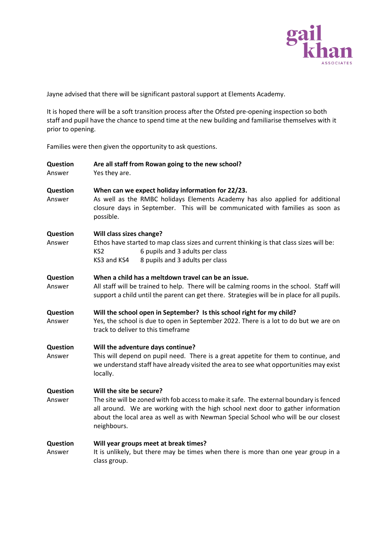

Jayne advised that there will be significant pastoral support at Elements Academy.

It is hoped there will be a soft transition process after the Ofsted pre-opening inspection so both staff and pupil have the chance to spend time at the new building and familiarise themselves with it prior to opening.

Families were then given the opportunity to ask questions.

| Question<br>Answer        | Are all staff from Rowan going to the new school?<br>Yes they are.                                                                                                                                                                                                                                          |
|---------------------------|-------------------------------------------------------------------------------------------------------------------------------------------------------------------------------------------------------------------------------------------------------------------------------------------------------------|
| <b>Question</b><br>Answer | When can we expect holiday information for 22/23.<br>As well as the RMBC holidays Elements Academy has also applied for additional<br>closure days in September. This will be communicated with families as soon as<br>possible.                                                                            |
| Question<br>Answer        | Will class sizes change?<br>Ethos have started to map class sizes and current thinking is that class sizes will be:<br>6 pupils and 3 adults per class<br>KS <sub>2</sub><br>KS3 and KS4<br>8 pupils and 3 adults per class                                                                                 |
| Question<br>Answer        | When a child has a meltdown travel can be an issue.<br>All staff will be trained to help. There will be calming rooms in the school. Staff will<br>support a child until the parent can get there. Strategies will be in place for all pupils.                                                              |
| Question<br>Answer        | Will the school open in September? Is this school right for my child?<br>Yes, the school is due to open in September 2022. There is a lot to do but we are on<br>track to deliver to this timeframe                                                                                                         |
| Question<br>Answer        | Will the adventure days continue?<br>This will depend on pupil need. There is a great appetite for them to continue, and<br>we understand staff have already visited the area to see what opportunities may exist<br>locally.                                                                               |
| Question<br>Answer        | Will the site be secure?<br>The site will be zoned with fob access to make it safe. The external boundary is fenced<br>all around. We are working with the high school next door to gather information<br>about the local area as well as with Newman Special School who will be our closest<br>neighbours. |
| Question<br>Answer        | Will year groups meet at break times?<br>It is unlikely, but there may be times when there is more than one year group in a<br>class group.                                                                                                                                                                 |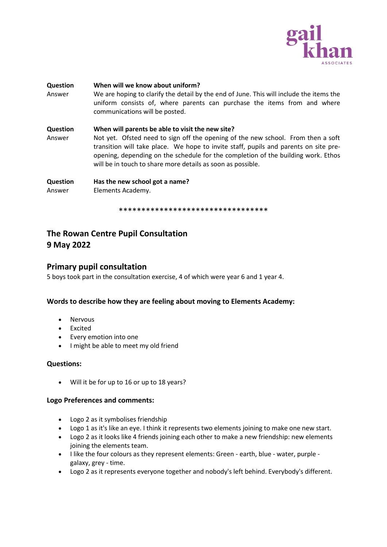

| <b>Question</b><br>Answer | When will we know about uniform?<br>We are hoping to clarify the detail by the end of June. This will include the items the<br>uniform consists of, where parents can purchase the items from and where<br>communications will be posted.                                                                                                                                        |
|---------------------------|----------------------------------------------------------------------------------------------------------------------------------------------------------------------------------------------------------------------------------------------------------------------------------------------------------------------------------------------------------------------------------|
| <b>Question</b><br>Answer | When will parents be able to visit the new site?<br>Not yet. Ofsted need to sign off the opening of the new school. From then a soft<br>transition will take place. We hope to invite staff, pupils and parents on site pre-<br>opening, depending on the schedule for the completion of the building work. Ethos<br>will be in touch to share more details as soon as possible. |
| <b>Question</b><br>Answer | Has the new school got a name?<br>Elements Academy.                                                                                                                                                                                                                                                                                                                              |

### **The Rowan Centre Pupil Consultation 9 May 2022**

### **Primary pupil consultation**

5 boys took part in the consultation exercise, 4 of which were year 6 and 1 year 4.

#### **Words to describe how they are feeling about moving to Elements Academy:**

- Nervous
- Excited
- Every emotion into one
- I might be able to meet my old friend

#### **Questions:**

• Will it be for up to 16 or up to 18 years?

#### **Logo Preferences and comments:**

- Logo 2 as it symbolises friendship
- Logo 1 as it's like an eye. I think it represents two elements joining to make one new start.
- Logo 2 as it looks like 4 friends joining each other to make a new friendship: new elements joining the elements team.
- I like the four colours as they represent elements: Green earth, blue water, purple galaxy, grey - time.
- Logo 2 as it represents everyone together and nobody's left behind. Everybody's different.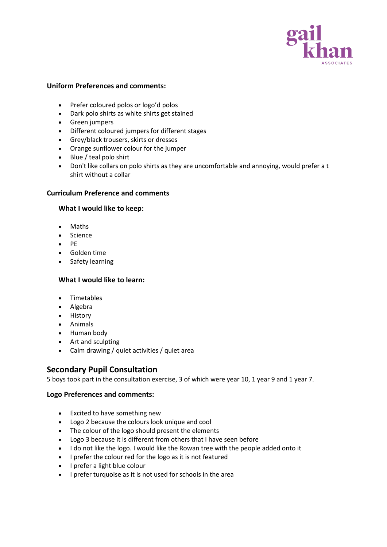

#### **Uniform Preferences and comments:**

- Prefer coloured polos or logo'd polos
- Dark polo shirts as white shirts get stained
- Green jumpers
- Different coloured jumpers for different stages
- Grey/black trousers, skirts or dresses
- Orange sunflower colour for the jumper
- Blue / teal polo shirt
- Don't like collars on polo shirts as they are uncomfortable and annoying, would prefer a t shirt without a collar

#### **Curriculum Preference and comments**

#### **What I would like to keep:**

- Maths
- Science
- PE
- Golden time
- Safety learning

#### **What I would like to learn:**

- Timetables
- Algebra
- History
- Animals
- Human body
- Art and sculpting
- Calm drawing / quiet activities / quiet area

### **Secondary Pupil Consultation**

5 boys took part in the consultation exercise, 3 of which were year 10, 1 year 9 and 1 year 7.

#### **Logo Preferences and comments:**

- Excited to have something new
- Logo 2 because the colours look unique and cool
- The colour of the logo should present the elements
- Logo 3 because it is different from others that I have seen before
- I do not like the logo. I would like the Rowan tree with the people added onto it
- I prefer the colour red for the logo as it is not featured
- I prefer a light blue colour
- I prefer turquoise as it is not used for schools in the area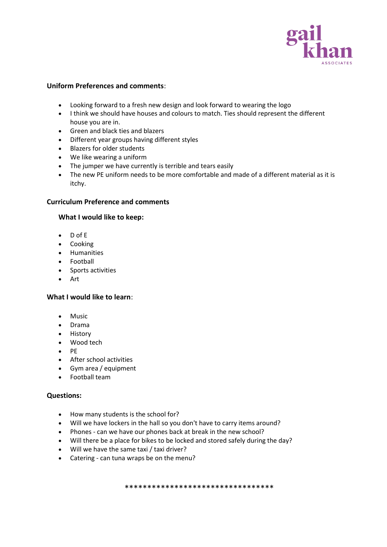

#### **Uniform Preferences and comments**:

- Looking forward to a fresh new design and look forward to wearing the logo
- I think we should have houses and colours to match. Ties should represent the different house you are in.
- Green and black ties and blazers
- Different year groups having different styles
- Blazers for older students
- We like wearing a uniform
- The jumper we have currently is terrible and tears easily
- The new PE uniform needs to be more comfortable and made of a different material as it is itchy.

#### **Curriculum Preference and comments**

#### **What I would like to keep:**

- D of E
- Cooking
- Humanities
- Football
- Sports activities
- Art

#### **What I would like to learn**:

- Music
- Drama
- History
- Wood tech
- PE
- After school activities
- Gym area / equipment
- Football team

#### **Questions:**

- How many students is the school for?
- Will we have lockers in the hall so you don't have to carry items around?
- Phones can we have our phones back at break in the new school?
- Will there be a place for bikes to be locked and stored safely during the day?
- Will we have the same taxi / taxi driver?
- Catering can tuna wraps be on the menu?

\*\*\*\*\*\*\*\*\*\*\*\*\*\*\*\*\*\*\*\*\*\*\*\*\*\*\*\*\*\*\*\*\*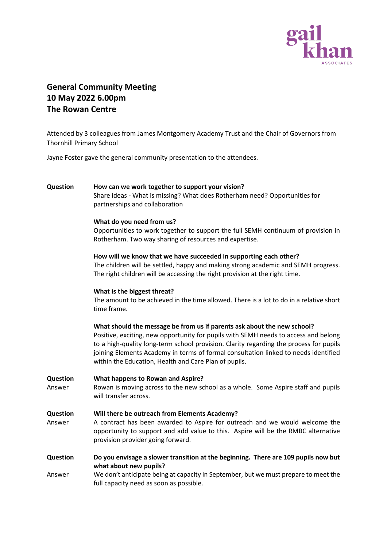

# **General Community Meeting 10 May 2022 6.00pm The Rowan Centre**

Attended by 3 colleagues from James Montgomery Academy Trust and the Chair of Governors from Thornhill Primary School

Jayne Foster gave the general community presentation to the attendees.

# **Question How can we work together to support your vision?**

Share ideas - What is missing? What does Rotherham need? Opportunities for partnerships and collaboration

#### **What do you need from us?**

Opportunities to work together to support the full SEMH continuum of provision in Rotherham. Two way sharing of resources and expertise.

#### **How will we know that we have succeeded in supporting each other?**

The children will be settled, happy and making strong academic and SEMH progress. The right children will be accessing the right provision at the right time.

#### **What is the biggest threat?**

The amount to be achieved in the time allowed. There is a lot to do in a relative short time frame.

#### **What should the message be from us if parents ask about the new school?**

Positive, exciting, new opportunity for pupils with SEMH needs to access and belong to a high-quality long-term school provision. Clarity regarding the process for pupils joining Elements Academy in terms of formal consultation linked to needs identified within the Education, Health and Care Plan of pupils.

| <b>Question</b><br>Answer | What happens to Rowan and Aspire?<br>Rowan is moving across to the new school as a whole. Some Aspire staff and pupils<br>will transfer across.                                                                                                        |  |
|---------------------------|--------------------------------------------------------------------------------------------------------------------------------------------------------------------------------------------------------------------------------------------------------|--|
| Question<br>Answer        | Will there be outreach from Elements Academy?<br>A contract has been awarded to Aspire for outreach and we would welcome the<br>opportunity to support and add value to this. Aspire will be the RMBC alternative<br>provision provider going forward. |  |
| <b>Question</b>           | Do you envisage a slower transition at the beginning. There are 109 pupils now but<br>what about new pupils?                                                                                                                                           |  |
| Answer                    | We don't anticipate being at capacity in September, but we must prepare to meet the<br>full capacity need as soon as possible.                                                                                                                         |  |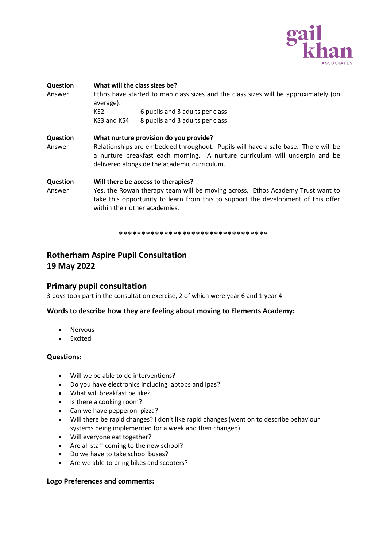

| <b>Question</b><br>Answer | What will the class sizes be?<br>Ethos have started to map class sizes and the class sizes will be approximately (on<br>average):                                                                                                                           |                                 |  |
|---------------------------|-------------------------------------------------------------------------------------------------------------------------------------------------------------------------------------------------------------------------------------------------------------|---------------------------------|--|
|                           | KS <sub>2</sub>                                                                                                                                                                                                                                             | 6 pupils and 3 adults per class |  |
|                           | KS3 and KS4                                                                                                                                                                                                                                                 | 8 pupils and 3 adults per class |  |
| <b>Question</b><br>Answer | What nurture provision do you provide?<br>Relationships are embedded throughout. Pupils will have a safe base. There will be<br>a nurture breakfast each morning. A nurture curriculum will underpin and be<br>delivered alongside the academic curriculum. |                                 |  |
| Question<br>Answer        | Will there be access to therapies?<br>Yes, the Rowan therapy team will be moving across. Ethos Academy Trust want to<br>take this opportunity to learn from this to support the development of this offer<br>within their other academies.                  |                                 |  |

### **Rotherham Aspire Pupil Consultation 19 May 2022**

### **Primary pupil consultation**

3 boys took part in the consultation exercise, 2 of which were year 6 and 1 year 4.

#### **Words to describe how they are feeling about moving to Elements Academy:**

- **Nervous**
- Excited

#### **Questions:**

- Will we be able to do interventions?
- Do you have electronics including laptops and Ipas?
- What will breakfast be like?
- Is there a cooking room?
- Can we have pepperoni pizza?
- Will there be rapid changes? I don't like rapid changes (went on to describe behaviour systems being implemented for a week and then changed)
- Will everyone eat together?
- Are all staff coming to the new school?
- Do we have to take school buses?
- Are we able to bring bikes and scooters?

#### **Logo Preferences and comments:**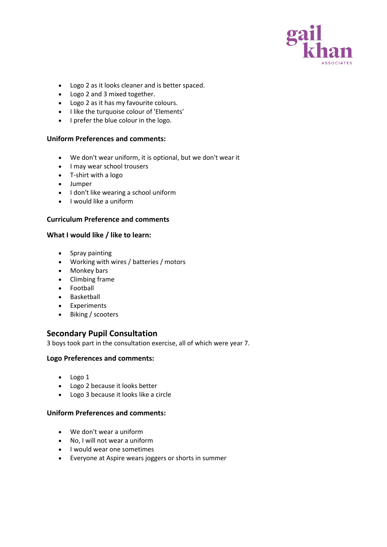

- Logo 2 as it looks cleaner and is better spaced.
- Logo 2 and 3 mixed together.
- Logo 2 as it has my favourite colours.
- I like the turquoise colour of 'Elements'
- I prefer the blue colour in the logo.

#### **Uniform Preferences and comments:**

- We don't wear uniform, it is optional, but we don't wear it
- I may wear school trousers
- T-shirt with a logo
- Jumper
- I don't like wearing a school uniform
- I would like a uniform

#### **Curriculum Preference and comments**

#### **What I would like / like to learn:**

- Spray painting
- Working with wires / batteries / motors
- Monkey bars
- Climbing frame
- Football
- Basketball
- Experiments
- Biking / scooters

#### **Secondary Pupil Consultation**

3 boys took part in the consultation exercise, all of which were year 7.

#### **Logo Preferences and comments:**

- Logo 1
- Logo 2 because it looks better
- Logo 3 because it looks like a circle

#### **Uniform Preferences and comments:**

- We don't wear a uniform
- No, I will not wear a uniform
- I would wear one sometimes
- Everyone at Aspire wears joggers or shorts in summer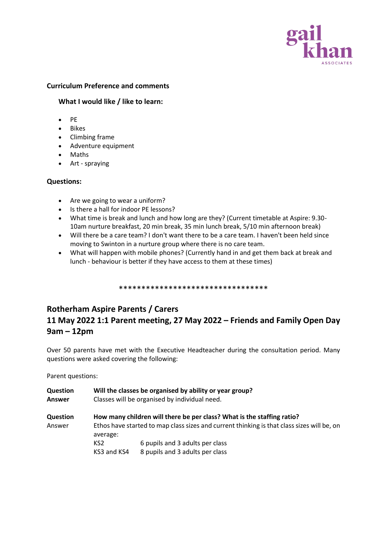

#### **Curriculum Preference and comments**

#### **What I would like / like to learn:**

- PE
- Bikes
- Climbing frame
- Adventure equipment
- Maths
- Art spraying

#### **Questions:**

- Are we going to wear a uniform?
- Is there a hall for indoor PE lessons?
- What time is break and lunch and how long are they? (Current timetable at Aspire: 9.30- 10am nurture breakfast, 20 min break, 35 min lunch break, 5/10 min afternoon break)
- Will there be a care team? I don't want there to be a care team. I haven't been held since moving to Swinton in a nurture group where there is no care team.
- What will happen with mobile phones? (Currently hand in and get them back at break and lunch - behaviour is better if they have access to them at these times)

\*\*\*\*\*\*\*\*\*\*\*\*\*\*\*\*\*\*\*\*\*\*\*\*\*\*\*\*\*\*\*\*\*

# **Rotherham Aspire Parents / Carers 11 May 2022 1:1 Parent meeting, 27 May 2022 – Friends and Family Open Day 9am – 12pm**

Over 50 parents have met with the Executive Headteacher during the consultation period. Many questions were asked covering the following:

Parent questions:

| How many children will there be per class? What is the staffing ratio?                     |  |
|--------------------------------------------------------------------------------------------|--|
| Ethos have started to map class sizes and current thinking is that class sizes will be, on |  |
| 6 pupils and 3 adults per class<br>8 pupils and 3 adults per class                         |  |
|                                                                                            |  |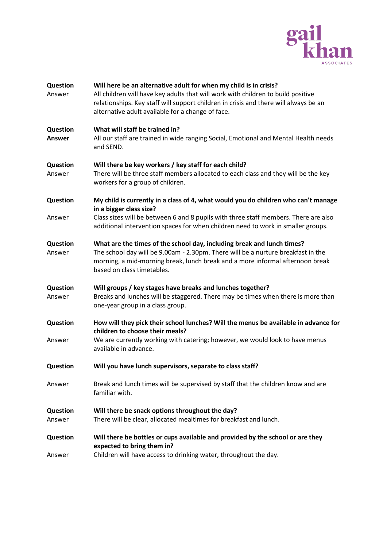

| Question<br>Answer        | Will here be an alternative adult for when my child is in crisis?<br>All children will have key adults that will work with children to build positive<br>relationships. Key staff will support children in crisis and there will always be an<br>alternative adult available for a change of face. |
|---------------------------|----------------------------------------------------------------------------------------------------------------------------------------------------------------------------------------------------------------------------------------------------------------------------------------------------|
| Question<br><b>Answer</b> | What will staff be trained in?<br>All our staff are trained in wide ranging Social, Emotional and Mental Health needs<br>and SEND.                                                                                                                                                                 |
| Question<br>Answer        | Will there be key workers / key staff for each child?<br>There will be three staff members allocated to each class and they will be the key<br>workers for a group of children.                                                                                                                    |
| Question                  | My child is currently in a class of 4, what would you do children who can't manage<br>in a bigger class size?                                                                                                                                                                                      |
| Answer                    | Class sizes will be between 6 and 8 pupils with three staff members. There are also<br>additional intervention spaces for when children need to work in smaller groups.                                                                                                                            |
| Question<br>Answer        | What are the times of the school day, including break and lunch times?<br>The school day will be 9.00am - 2.30pm. There will be a nurture breakfast in the<br>morning, a mid-morning break, lunch break and a more informal afternoon break<br>based on class timetables.                          |
| Question<br>Answer        | Will groups / key stages have breaks and lunches together?<br>Breaks and lunches will be staggered. There may be times when there is more than<br>one-year group in a class group.                                                                                                                 |
| Question                  | How will they pick their school lunches? Will the menus be available in advance for<br>children to choose their meals?                                                                                                                                                                             |
| Answer                    | We are currently working with catering; however, we would look to have menus<br>available in advance.                                                                                                                                                                                              |
| Question                  | Will you have lunch supervisors, separate to class staff?                                                                                                                                                                                                                                          |
| Answer                    | Break and lunch times will be supervised by staff that the children know and are<br>familiar with.                                                                                                                                                                                                 |
| Question                  | Will there be snack options throughout the day?                                                                                                                                                                                                                                                    |
| Answer                    | There will be clear, allocated mealtimes for breakfast and lunch.                                                                                                                                                                                                                                  |
| Question                  | Will there be bottles or cups available and provided by the school or are they<br>expected to bring them in?                                                                                                                                                                                       |
| Answer                    | Children will have access to drinking water, throughout the day.                                                                                                                                                                                                                                   |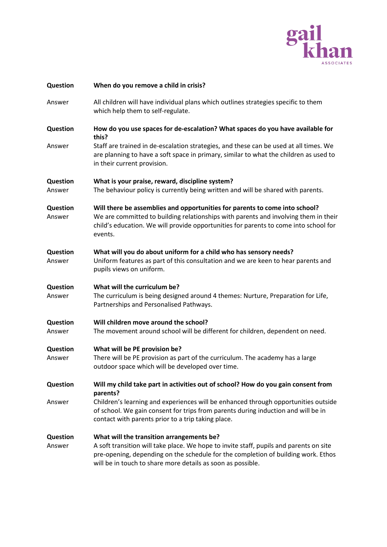

| Question           | When do you remove a child in crisis?                                                                                                                                                                                                                                                   |
|--------------------|-----------------------------------------------------------------------------------------------------------------------------------------------------------------------------------------------------------------------------------------------------------------------------------------|
| Answer             | All children will have individual plans which outlines strategies specific to them<br>which help them to self-regulate.                                                                                                                                                                 |
| Question           | How do you use spaces for de-escalation? What spaces do you have available for<br>this?                                                                                                                                                                                                 |
| Answer             | Staff are trained in de-escalation strategies, and these can be used at all times. We<br>are planning to have a soft space in primary, similar to what the children as used to<br>in their current provision.                                                                           |
| Question<br>Answer | What is your praise, reward, discipline system?<br>The behaviour policy is currently being written and will be shared with parents.                                                                                                                                                     |
| Question<br>Answer | Will there be assemblies and opportunities for parents to come into school?<br>We are committed to building relationships with parents and involving them in their<br>child's education. We will provide opportunities for parents to come into school for<br>events.                   |
| Question<br>Answer | What will you do about uniform for a child who has sensory needs?<br>Uniform features as part of this consultation and we are keen to hear parents and<br>pupils views on uniform.                                                                                                      |
| Question<br>Answer | What will the curriculum be?<br>The curriculum is being designed around 4 themes: Nurture, Preparation for Life,<br>Partnerships and Personalised Pathways.                                                                                                                             |
| Question<br>Answer | Will children move around the school?<br>The movement around school will be different for children, dependent on need.                                                                                                                                                                  |
| Question<br>Answer | What will be PE provision be?<br>There will be PE provision as part of the curriculum. The academy has a large<br>outdoor space which will be developed over time.                                                                                                                      |
| Question           | Will my child take part in activities out of school? How do you gain consent from<br>parents?                                                                                                                                                                                           |
| Answer             | Children's learning and experiences will be enhanced through opportunities outside<br>of school. We gain consent for trips from parents during induction and will be in<br>contact with parents prior to a trip taking place.                                                           |
| Question<br>Answer | What will the transition arrangements be?<br>A soft transition will take place. We hope to invite staff, pupils and parents on site<br>pre-opening, depending on the schedule for the completion of building work. Ethos<br>will be in touch to share more details as soon as possible. |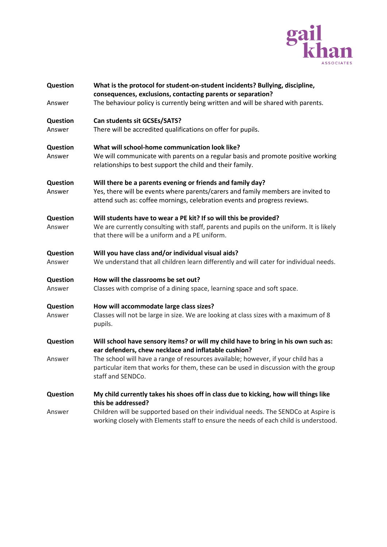

| <b>Question</b>    | What is the protocol for student-on-student incidents? Bullying, discipline,<br>consequences, exclusions, contacting parents or separation?                                                                                 |
|--------------------|-----------------------------------------------------------------------------------------------------------------------------------------------------------------------------------------------------------------------------|
| Answer             | The behaviour policy is currently being written and will be shared with parents.                                                                                                                                            |
| Question           | Can students sit GCSEs/SATS?                                                                                                                                                                                                |
| Answer             | There will be accredited qualifications on offer for pupils.                                                                                                                                                                |
| Question<br>Answer | What will school-home communication look like?<br>We will communicate with parents on a regular basis and promote positive working<br>relationships to best support the child and their family.                             |
| Question<br>Answer | Will there be a parents evening or friends and family day?<br>Yes, there will be events where parents/carers and family members are invited to<br>attend such as: coffee mornings, celebration events and progress reviews. |
| Question<br>Answer | Will students have to wear a PE kit? If so will this be provided?<br>We are currently consulting with staff, parents and pupils on the uniform. It is likely<br>that there will be a uniform and a PE uniform.              |
| Question<br>Answer | Will you have class and/or individual visual aids?<br>We understand that all children learn differently and will cater for individual needs.                                                                                |
| Question           | How will the classrooms be set out?                                                                                                                                                                                         |
| Answer             | Classes with comprise of a dining space, learning space and soft space.                                                                                                                                                     |
| Question           | How will accommodate large class sizes?                                                                                                                                                                                     |
| Answer             | Classes will not be large in size. We are looking at class sizes with a maximum of 8<br>pupils.                                                                                                                             |
| Question           | Will school have sensory items? or will my child have to bring in his own such as:<br>ear defenders, chew necklace and inflatable cushion?                                                                                  |
| Answer             | The school will have a range of resources available; however, if your child has a<br>particular item that works for them, these can be used in discussion with the group<br>staff and SENDCo.                               |
| <b>Question</b>    | My child currently takes his shoes off in class due to kicking, how will things like<br>this be addressed?                                                                                                                  |
| Answer             | Children will be supported based on their individual needs. The SENDCo at Aspire is<br>working closely with Elements staff to ensure the needs of each child is understood.                                                 |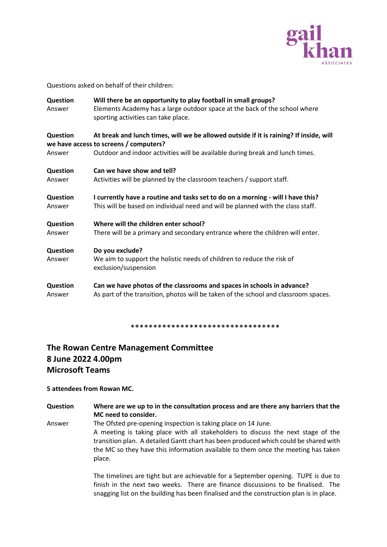

Questions asked on behalf of their children:

| Question<br>Answer | Will there be an opportunity to play football in small groups?<br>Elements Academy has a large outdoor space at the back of the school where<br>sporting activities can take place. |  |
|--------------------|-------------------------------------------------------------------------------------------------------------------------------------------------------------------------------------|--|
| <b>Question</b>    | At break and lunch times, will we be allowed outside if it is raining? If inside, will<br>we have access to screens / computers?                                                    |  |
| Answer             | Outdoor and indoor activities will be available during break and lunch times.                                                                                                       |  |
| Question           | Can we have show and tell?                                                                                                                                                          |  |
| Answer             | Activities will be planned by the classroom teachers / support staff.                                                                                                               |  |
| Question           | I currently have a routine and tasks set to do on a morning - will I have this?                                                                                                     |  |
| Answer             | This will be based on individual need and will be planned with the class staff.                                                                                                     |  |
| Question           | Where will the children enter school?                                                                                                                                               |  |
| Answer             | There will be a primary and secondary entrance where the children will enter.                                                                                                       |  |
| Question           | Do you exclude?                                                                                                                                                                     |  |
| Answer             | We aim to support the holistic needs of children to reduce the risk of<br>exclusion/suspension                                                                                      |  |
| Question           | Can we have photos of the classrooms and spaces in schools in advance?                                                                                                              |  |
| Answer             | As part of the transition, photos will be taken of the school and classroom spaces.                                                                                                 |  |

\*\*\*\*\*\*\*\*\*\*\*\*\*\*\*\*\*\*\*\*\*\*\*\*\*\*\*\*\*\*\*\*\*

### **The Rowan Centre Management Committee 8 June 2022 4.00pm Microsoft Teams**

#### **5 attendees from Rowan MC.**

**Question Where are we up to in the consultation process and are there any barriers that the MC need to consider.** Answer The Ofsted pre-opening inspection is taking place on 14 June.

A meeting is taking place with all stakeholders to discuss the next stage of the transition plan. A detailed Gantt chart has been produced which could be shared with the MC so they have this information available to them once the meeting has taken place.

> The timelines are tight but are achievable for a September opening. TUPE is due to finish in the next two weeks. There are finance discussions to be finalised. The snagging list on the building has been finalised and the construction plan is in place.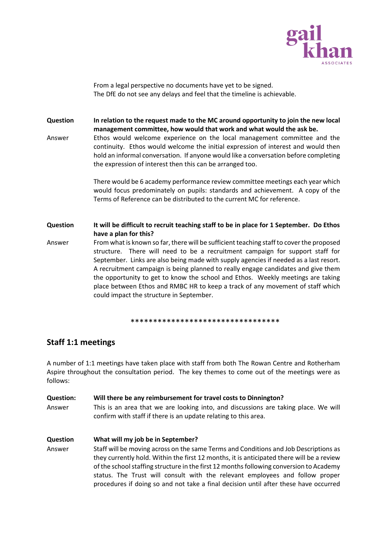

From a legal perspective no documents have yet to be signed. The DfE do not see any delays and feel that the timeline is achievable.

**Question In relation to the request made to the MC around opportunity to join the new local management committee, how would that work and what would the ask be.** Answer Ethos would welcome experience on the local management committee and the continuity. Ethos would welcome the initial expression of interest and would then hold an informal conversation. If anyone would like a conversation before completing the expression of interest then this can be arranged too.

> There would be 6 academy performance review committee meetings each year which would focus predominately on pupils: standards and achievement. A copy of the Terms of Reference can be distributed to the current MC for reference.

**Question It will be difficult to recruit teaching staff to be in place for 1 September. Do Ethos have a plan for this?**

Answer From what is known so far, there will be sufficient teaching staff to cover the proposed structure. There will need to be a recruitment campaign for support staff for September. Links are also being made with supply agencies if needed as a last resort. A recruitment campaign is being planned to really engage candidates and give them the opportunity to get to know the school and Ethos. Weekly meetings are taking place between Ethos and RMBC HR to keep a track of any movement of staff which could impact the structure in September.

\*\*\*\*\*\*\*\*\*\*\*\*\*\*\*\*\*\*\*\*\*\*\*\*\*\*\*\*\*\*\*\*\*

### **Staff 1:1 meetings**

A number of 1:1 meetings have taken place with staff from both The Rowan Centre and Rotherham Aspire throughout the consultation period. The key themes to come out of the meetings were as follows:

### **Question: Will there be any reimbursement for travel costs to Dinnington?** Answer This is an area that we are looking into, and discussions are taking place. We will confirm with staff if there is an update relating to this area.

procedures if doing so and not take a final decision until after these have occurred

**Question What will my job be in September?** Answer Staff will be moving across on the same Terms and Conditions and Job Descriptions as they currently hold. Within the first 12 months, it is anticipated there will be a review of the school staffing structure in the first 12 months following conversion to Academy status. The Trust will consult with the relevant employees and follow proper